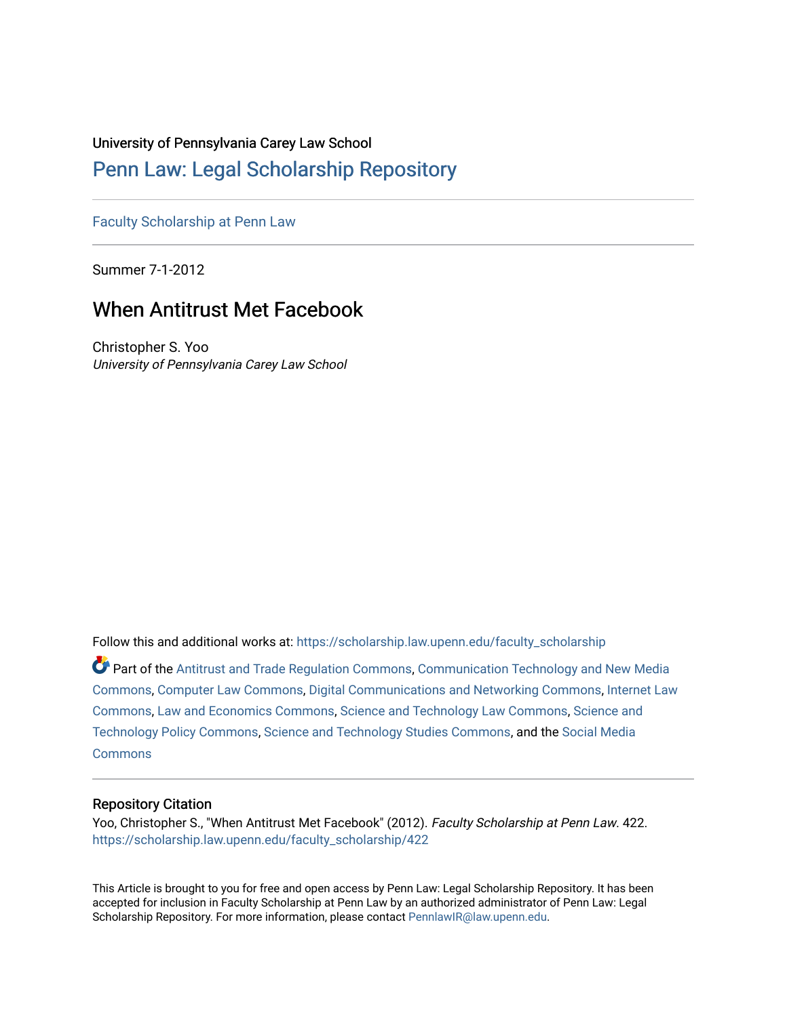## University of Pennsylvania Carey Law School

## [Penn Law: Legal Scholarship Repository](https://scholarship.law.upenn.edu/)

[Faculty Scholarship at Penn Law](https://scholarship.law.upenn.edu/faculty_scholarship)

Summer 7-1-2012

# When Antitrust Met Facebook

Christopher S. Yoo University of Pennsylvania Carey Law School

Follow this and additional works at: [https://scholarship.law.upenn.edu/faculty\\_scholarship](https://scholarship.law.upenn.edu/faculty_scholarship?utm_source=scholarship.law.upenn.edu%2Ffaculty_scholarship%2F422&utm_medium=PDF&utm_campaign=PDFCoverPages) 

Part of the [Antitrust and Trade Regulation Commons,](http://network.bepress.com/hgg/discipline/911?utm_source=scholarship.law.upenn.edu%2Ffaculty_scholarship%2F422&utm_medium=PDF&utm_campaign=PDFCoverPages) [Communication Technology and New Media](http://network.bepress.com/hgg/discipline/327?utm_source=scholarship.law.upenn.edu%2Ffaculty_scholarship%2F422&utm_medium=PDF&utm_campaign=PDFCoverPages) [Commons](http://network.bepress.com/hgg/discipline/327?utm_source=scholarship.law.upenn.edu%2Ffaculty_scholarship%2F422&utm_medium=PDF&utm_campaign=PDFCoverPages), [Computer Law Commons](http://network.bepress.com/hgg/discipline/837?utm_source=scholarship.law.upenn.edu%2Ffaculty_scholarship%2F422&utm_medium=PDF&utm_campaign=PDFCoverPages), [Digital Communications and Networking Commons](http://network.bepress.com/hgg/discipline/262?utm_source=scholarship.law.upenn.edu%2Ffaculty_scholarship%2F422&utm_medium=PDF&utm_campaign=PDFCoverPages), [Internet Law](http://network.bepress.com/hgg/discipline/892?utm_source=scholarship.law.upenn.edu%2Ffaculty_scholarship%2F422&utm_medium=PDF&utm_campaign=PDFCoverPages)  [Commons](http://network.bepress.com/hgg/discipline/892?utm_source=scholarship.law.upenn.edu%2Ffaculty_scholarship%2F422&utm_medium=PDF&utm_campaign=PDFCoverPages), [Law and Economics Commons](http://network.bepress.com/hgg/discipline/612?utm_source=scholarship.law.upenn.edu%2Ffaculty_scholarship%2F422&utm_medium=PDF&utm_campaign=PDFCoverPages), [Science and Technology Law Commons,](http://network.bepress.com/hgg/discipline/875?utm_source=scholarship.law.upenn.edu%2Ffaculty_scholarship%2F422&utm_medium=PDF&utm_campaign=PDFCoverPages) [Science and](http://network.bepress.com/hgg/discipline/1029?utm_source=scholarship.law.upenn.edu%2Ffaculty_scholarship%2F422&utm_medium=PDF&utm_campaign=PDFCoverPages) [Technology Policy Commons](http://network.bepress.com/hgg/discipline/1029?utm_source=scholarship.law.upenn.edu%2Ffaculty_scholarship%2F422&utm_medium=PDF&utm_campaign=PDFCoverPages), [Science and Technology Studies Commons](http://network.bepress.com/hgg/discipline/435?utm_source=scholarship.law.upenn.edu%2Ffaculty_scholarship%2F422&utm_medium=PDF&utm_campaign=PDFCoverPages), and the [Social Media](http://network.bepress.com/hgg/discipline/1249?utm_source=scholarship.law.upenn.edu%2Ffaculty_scholarship%2F422&utm_medium=PDF&utm_campaign=PDFCoverPages)  **[Commons](http://network.bepress.com/hgg/discipline/1249?utm_source=scholarship.law.upenn.edu%2Ffaculty_scholarship%2F422&utm_medium=PDF&utm_campaign=PDFCoverPages)** 

## Repository Citation

Yoo, Christopher S., "When Antitrust Met Facebook" (2012). Faculty Scholarship at Penn Law. 422. [https://scholarship.law.upenn.edu/faculty\\_scholarship/422](https://scholarship.law.upenn.edu/faculty_scholarship/422?utm_source=scholarship.law.upenn.edu%2Ffaculty_scholarship%2F422&utm_medium=PDF&utm_campaign=PDFCoverPages) 

This Article is brought to you for free and open access by Penn Law: Legal Scholarship Repository. It has been accepted for inclusion in Faculty Scholarship at Penn Law by an authorized administrator of Penn Law: Legal Scholarship Repository. For more information, please contact [PennlawIR@law.upenn.edu.](mailto:PennlawIR@law.upenn.edu)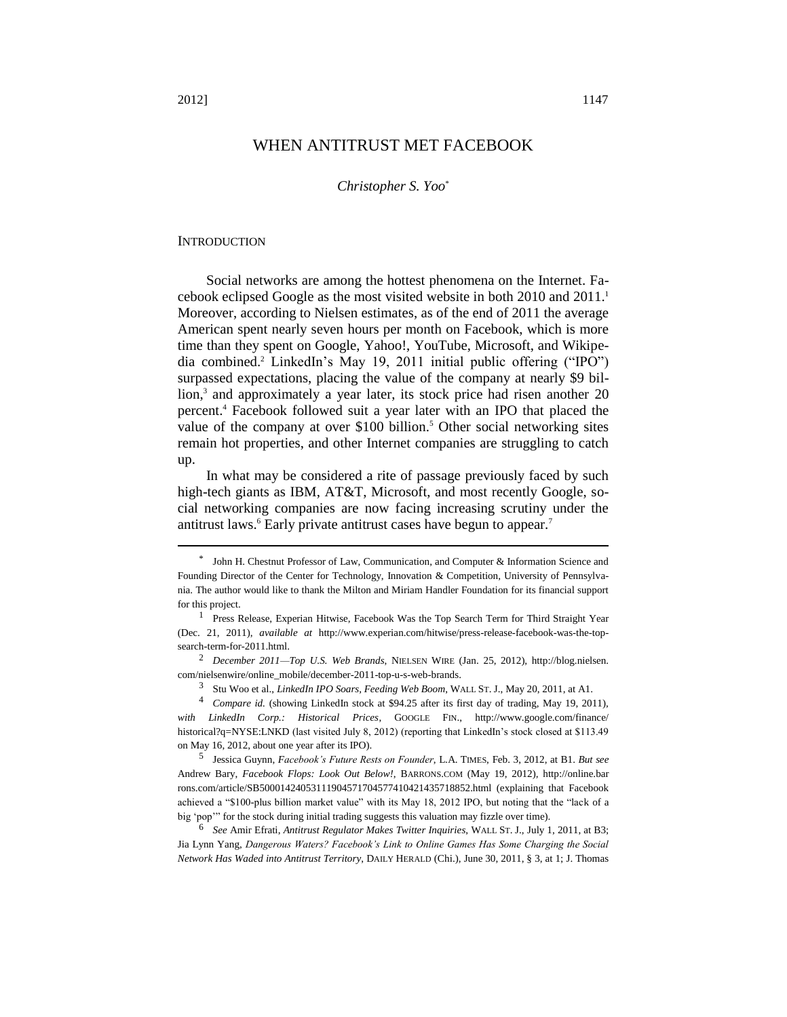## WHEN ANTITRUST MET FACEBOOK

#### *Christopher S. Yoo*\*

#### **INTRODUCTION**

Social networks are among the hottest phenomena on the Internet. Facebook eclipsed Google as the most visited website in both 2010 and 2011.<sup>1</sup> Moreover, according to Nielsen estimates, as of the end of 2011 the average American spent nearly seven hours per month on Facebook, which is more time than they spent on Google, Yahoo!, YouTube, Microsoft, and Wikipedia combined.<sup>2</sup> LinkedIn's May 19, 2011 initial public offering ("IPO") surpassed expectations, placing the value of the company at nearly \$9 billion,<sup>3</sup> and approximately a year later, its stock price had risen another 20 percent.<sup>4</sup> Facebook followed suit a year later with an IPO that placed the value of the company at over \$100 billion.<sup>5</sup> Other social networking sites remain hot properties, and other Internet companies are struggling to catch up.

In what may be considered a rite of passage previously faced by such high-tech giants as IBM, AT&T, Microsoft, and most recently Google, social networking companies are now facing increasing scrutiny under the antitrust laws.<sup>6</sup> Early private antitrust cases have begun to appear.<sup>7</sup>

<sup>\*</sup> John H. Chestnut Professor of Law, Communication, and Computer & Information Science and Founding Director of the Center for Technology, Innovation & Competition, University of Pennsylvania. The author would like to thank the Milton and Miriam Handler Foundation for its financial support for this project.

<sup>&</sup>lt;sup>1</sup> Press Release, Experian Hitwise, Facebook Was the Top Search Term for Third Straight Year (Dec. 21, 2011), *available at* [http://www.experian.com/hitwise/press-release-facebook-was-the-top](http://www.experian.com/hitwise/press-release-facebook-was-the-top-search-term-for-2011.html)[search-term-for-2011.html.](http://www.experian.com/hitwise/press-release-facebook-was-the-top-search-term-for-2011.html)

<sup>2</sup> *December 2011—Top U.S. Web Brands*, NIELSEN WIRE (Jan. 25, 2012), [http://blog.nielsen.](http://blog.nielsen.com/nielsenwire/online_mobile/december-2011-top-u-s-web-brands) [com/nielsenwire/online\\_mobile/december-2011-top-u-s-web-brands.](http://blog.nielsen.com/nielsenwire/online_mobile/december-2011-top-u-s-web-brands)

<sup>3</sup> Stu Woo et al., *LinkedIn IPO Soars, Feeding Web Boom*, WALL ST. J., May 20, 2011, at A1.

<sup>4</sup> *Compare id.* (showing LinkedIn stock at \$94.25 after its first day of trading, May 19, 2011), *with LinkedIn Corp.: Historical Prices*, GOOGLE FIN., [http://www.google.com/finance/](http://www.google.com/finance/historical?q=NYSE:LNKD) [historical?q=NYSE:LNKD](http://www.google.com/finance/historical?q=NYSE:LNKD) (last visited July 8, 2012) (reporting that LinkedIn's stock closed at \$113.49 on May 16, 2012, about one year after its IPO).

<sup>5</sup> Jessica Guynn, *Facebook's Future Rests on Founder*, L.A. TIMES, Feb. 3, 2012, at B1. *But see*  Andrew Bary, *Facebook Flops: Look Out Below!*, BARRONS.COM (May 19, 2012), [http://online.bar](http://online.barrons.com/article/SB50001424053111904571704577410421435718852.html) [rons.com/article/SB50001424053111904571704577410421435718852.html](http://online.barrons.com/article/SB50001424053111904571704577410421435718852.html) (explaining that Facebook achieved a "\$100-plus billion market value" with its May 18, 2012 IPO, but noting that the "lack of a big 'pop'" for the stock during initial trading suggests this valuation may fizzle over time).

<sup>6</sup> *See* Amir Efrati, *Antitrust Regulator Makes Twitter Inquiries*, WALL ST. J., July 1, 2011, at B3; Jia Lynn Yang, *Dangerous Waters? Facebook's Link to Online Games Has Some Charging the Social Network Has Waded into Antitrust Territory*, DAILY HERALD (Chi.), June 30, 2011, § 3, at 1; J. Thomas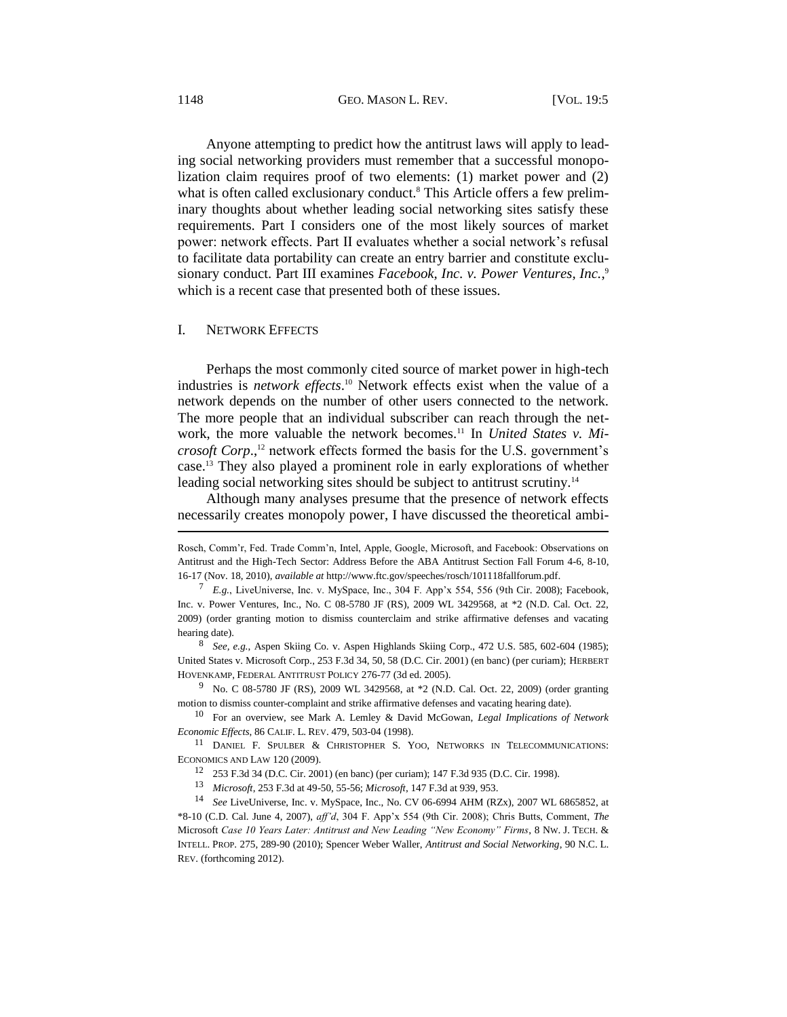Anyone attempting to predict how the antitrust laws will apply to leading social networking providers must remember that a successful monopolization claim requires proof of two elements: (1) market power and (2) what is often called exclusionary conduct.<sup>8</sup> This Article offers a few preliminary thoughts about whether leading social networking sites satisfy these requirements. Part I considers one of the most likely sources of market power: network effects. Part II evaluates whether a social network's refusal to facilitate data portability can create an entry barrier and constitute exclusionary conduct. Part III examines Facebook, Inc. v. Power Ventures, Inc.,<sup>9</sup> which is a recent case that presented both of these issues.

#### I. NETWORK EFFECTS

<span id="page-2-2"></span><span id="page-2-0"></span>Perhaps the most commonly cited source of market power in high-tech industries is *network effects*. <sup>10</sup> Network effects exist when the value of a network depends on the number of other users connected to the network. The more people that an individual subscriber can reach through the network, the more valuable the network becomes.<sup>11</sup> In *United States v. Microsoft Corp*., <sup>12</sup> network effects formed the basis for the U.S. government's case.<sup>13</sup> They also played a prominent role in early explorations of whether leading social networking sites should be subject to antitrust scrutiny.<sup>14</sup>

<span id="page-2-1"></span>Although many analyses presume that the presence of network effects necessarily creates monopoly power, I have discussed the theoretical ambi-

Rosch, Comm'r, Fed. Trade Comm'n, Intel, Apple, Google, Microsoft, and Facebook: Observations on Antitrust and the High-Tech Sector: Address Before the ABA Antitrust Section Fall Forum 4-6, 8-10, 16-17 (Nov. 18, 2010), *available at* [http://www.ftc.gov/speeches/rosch/101118fallforum.pdf.](http://www.ftc.gov/speeches/rosch/101118fallforum.pdf)

<sup>7</sup> *E.g.*, LiveUniverse, Inc. v. MySpace, Inc., 304 F. App'x 554, 556 (9th Cir. 2008); Facebook, Inc. v. Power Ventures, Inc., No. C 08-5780 JF (RS), 2009 WL 3429568, at \*2 (N.D. Cal. Oct. 22, 2009) (order granting motion to dismiss counterclaim and strike affirmative defenses and vacating hearing date).

<sup>8</sup> *See, e.g.*, Aspen Skiing Co. v. Aspen Highlands Skiing Corp., 472 U.S. 585, 602-604 (1985); United States v. Microsoft Corp., 253 F.3d 34, 50, 58 (D.C. Cir. 2001) (en banc) (per curiam); HERBERT HOVENKAMP, FEDERAL ANTITRUST POLICY 276-77 (3d ed. 2005).

<sup>9</sup> No. C 08-5780 JF (RS), 2009 WL 3429568, at \*2 (N.D. Cal. Oct. 22, 2009) (order granting motion to dismiss counter-complaint and strike affirmative defenses and vacating hearing date).

<sup>10</sup> For an overview, see Mark A. Lemley & David McGowan, *Legal Implications of Network Economic Effects*, 86 CALIF. L. REV. 479, 503-04 (1998).

<sup>&</sup>lt;sup>11</sup> DANIEL F. SPULBER & CHRISTOPHER S. YOO, NETWORKS IN TELECOMMUNICATIONS: ECONOMICS AND LAW 120 (2009).

<sup>12</sup> 253 F.3d 34 (D.C. Cir. 2001) (en banc) (per curiam); 147 F.3d 935 (D.C. Cir. 1998).

<sup>13</sup> *Microsoft*, 253 F.3d at 49-50, 55-56; *Microsoft*, 147 F.3d at 939, 953.

<sup>14</sup> *See* LiveUniverse, Inc. v. MySpace, Inc., No. CV 06-6994 AHM (RZx), 2007 WL 6865852, at \*8-10 (C.D. Cal. June 4, 2007), *aff'd*, 304 F. App'x 554 (9th Cir. 2008); Chris Butts, Comment, *The*  Microsoft *Case 10 Years Later: Antitrust and New Leading "New Economy" Firms*, 8 NW. J. TECH. & INTELL. PROP. 275, 289-90 (2010); Spencer Weber Waller, *Antitrust and Social Networking*, 90 N.C. L. REV. (forthcoming 2012).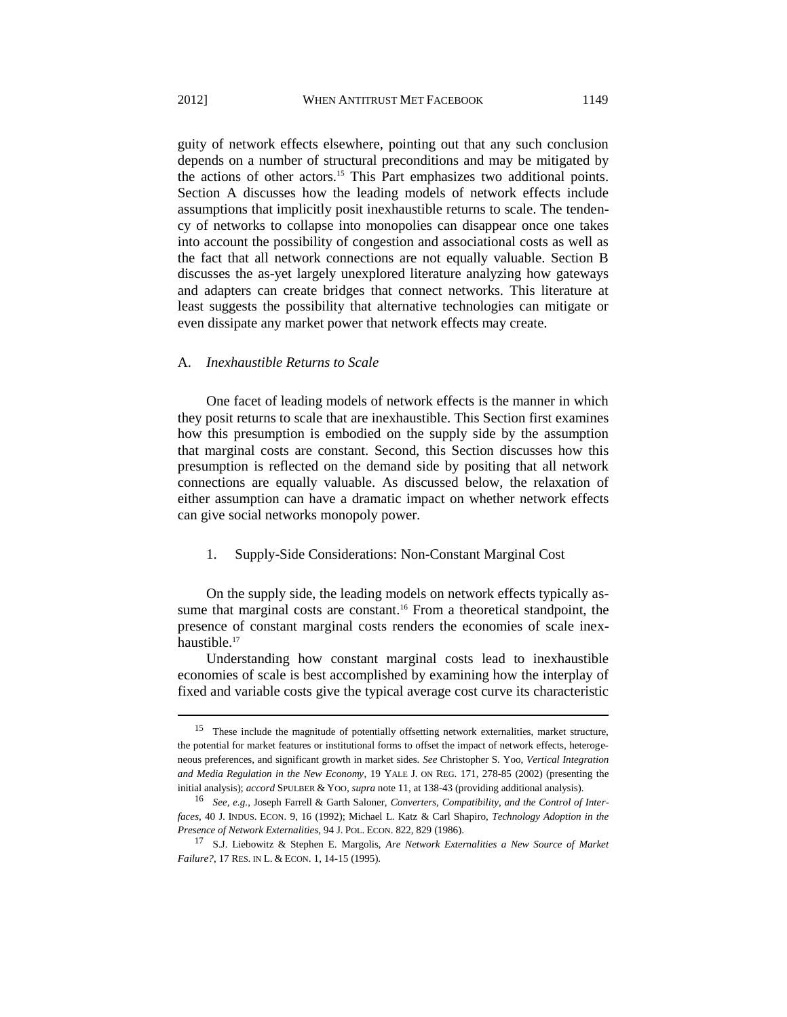guity of network effects elsewhere, pointing out that any such conclusion depends on a number of structural preconditions and may be mitigated by the actions of other actors.<sup>15</sup> This Part emphasizes two additional points. Section A discusses how the leading models of network effects include assumptions that implicitly posit inexhaustible returns to scale. The tendency of networks to collapse into monopolies can disappear once one takes into account the possibility of congestion and associational costs as well as the fact that all network connections are not equally valuable. Section B discusses the as-yet largely unexplored literature analyzing how gateways and adapters can create bridges that connect networks. This literature at least suggests the possibility that alternative technologies can mitigate or

even dissipate any market power that network effects may create.

#### A. *Inexhaustible Returns to Scale*

One facet of leading models of network effects is the manner in which they posit returns to scale that are inexhaustible. This Section first examines how this presumption is embodied on the supply side by the assumption that marginal costs are constant. Second, this Section discusses how this presumption is reflected on the demand side by positing that all network connections are equally valuable. As discussed below, the relaxation of either assumption can have a dramatic impact on whether network effects can give social networks monopoly power.

#### <span id="page-3-1"></span>1. Supply-Side Considerations: Non-Constant Marginal Cost

On the supply side, the leading models on network effects typically assume that marginal costs are constant.<sup>16</sup> From a theoretical standpoint, the presence of constant marginal costs renders the economies of scale inexhaustible.<sup>17</sup>

<span id="page-3-0"></span>Understanding how constant marginal costs lead to inexhaustible economies of scale is best accomplished by examining how the interplay of fixed and variable costs give the typical average cost curve its characteristic

<sup>&</sup>lt;sup>15</sup> These include the magnitude of potentially offsetting network externalities, market structure, the potential for market features or institutional forms to offset the impact of network effects, heterogeneous preferences, and significant growth in market sides. *See* Christopher S. Yoo, *Vertical Integration and Media Regulation in the New Economy*, 19 YALE J. ON REG. 171, 278-85 (2002) (presenting the initial analysis); *accord* SPULBER & YOO, *supra* note [11,](#page-2-0) at 138-43 (providing additional analysis).

<sup>16</sup> *See, e.g.*, Joseph Farrell & Garth Saloner, *Converters, Compatibility, and the Control of Interfaces*, 40 J. INDUS. ECON. 9, 16 (1992); Michael L. Katz & Carl Shapiro, *Technology Adoption in the Presence of Network Externalities*, 94 J. POL. ECON. 822, 829 (1986).

<sup>17</sup> S.J. Liebowitz & Stephen E. Margolis, *Are Network Externalities a New Source of Market Failure?*, 17 RES. IN L. & ECON. 1, 14-15 (1995).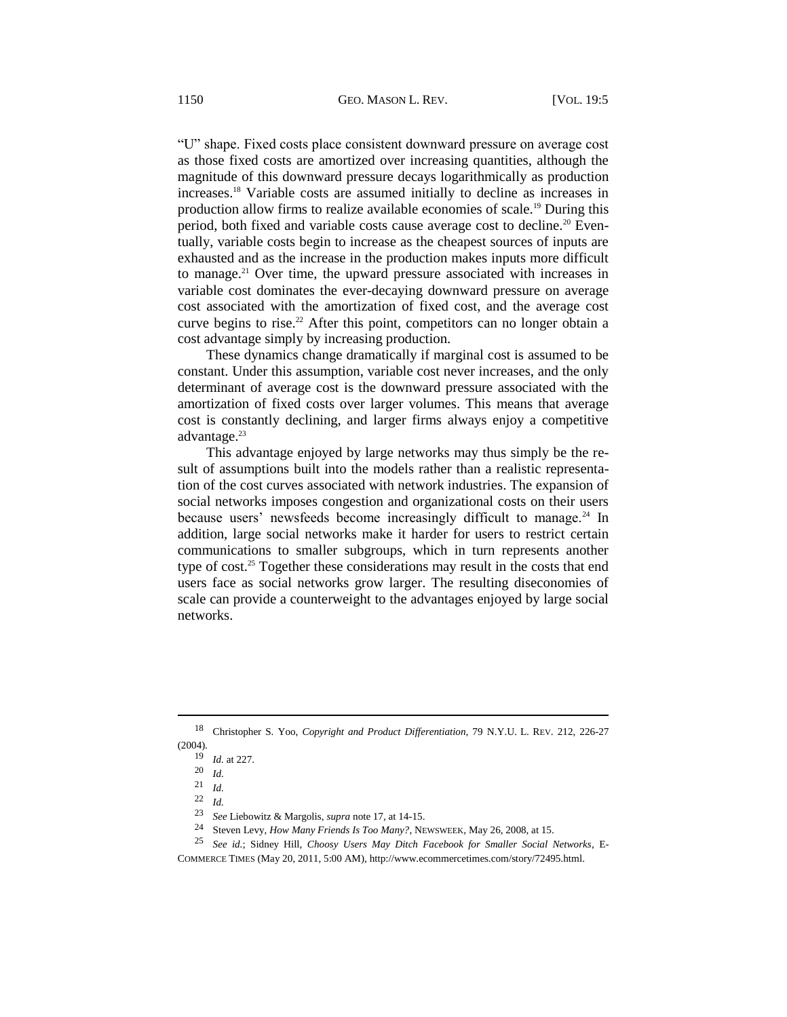"U" shape. Fixed costs place consistent downward pressure on average cost as those fixed costs are amortized over increasing quantities, although the magnitude of this downward pressure decays logarithmically as production increases.<sup>18</sup> Variable costs are assumed initially to decline as increases in production allow firms to realize available economies of scale.<sup>19</sup> During this period, both fixed and variable costs cause average cost to decline.<sup>20</sup> Eventually, variable costs begin to increase as the cheapest sources of inputs are exhausted and as the increase in the production makes inputs more difficult to manage.<sup>21</sup> Over time, the upward pressure associated with increases in variable cost dominates the ever-decaying downward pressure on average cost associated with the amortization of fixed cost, and the average cost curve begins to rise.<sup>22</sup> After this point, competitors can no longer obtain a cost advantage simply by increasing production.

These dynamics change dramatically if marginal cost is assumed to be constant. Under this assumption, variable cost never increases, and the only determinant of average cost is the downward pressure associated with the amortization of fixed costs over larger volumes. This means that average cost is constantly declining, and larger firms always enjoy a competitive advantage.<sup>23</sup>

This advantage enjoyed by large networks may thus simply be the result of assumptions built into the models rather than a realistic representation of the cost curves associated with network industries. The expansion of social networks imposes congestion and organizational costs on their users because users' newsfeeds become increasingly difficult to manage.<sup>24</sup> In addition, large social networks make it harder for users to restrict certain communications to smaller subgroups, which in turn represents another type of cost.<sup>25</sup> Together these considerations may result in the costs that end users face as social networks grow larger. The resulting diseconomies of scale can provide a counterweight to the advantages enjoyed by large social networks.

<sup>18</sup> Christopher S. Yoo, *Copyright and Product Differentiation*, 79 N.Y.U. L. REV. 212, 226-27 (2004).

<sup>19</sup> *Id.* at 227.

 $\frac{20}{21}$  *Id.* 

<sup>21</sup> *Id.*

<sup>22</sup> *Id.*

<sup>23</sup> *See* Liebowitz & Margolis, *supra* not[e 17,](#page-3-0) at 14-15.

<sup>24</sup> Steven Levy, *How Many Friends Is Too Many?*, NEWSWEEK, May 26, 2008, at 15.

<sup>25</sup> *See id.*; Sidney Hill, *Choosy Users May Ditch Facebook for Smaller Social Networks*, E-COMMERCE TIMES (May 20, 2011, 5:00 AM), [http://www.ecommercetimes.com/story/72495.html.](http://www.ecommercetimes.com/story/72495.html)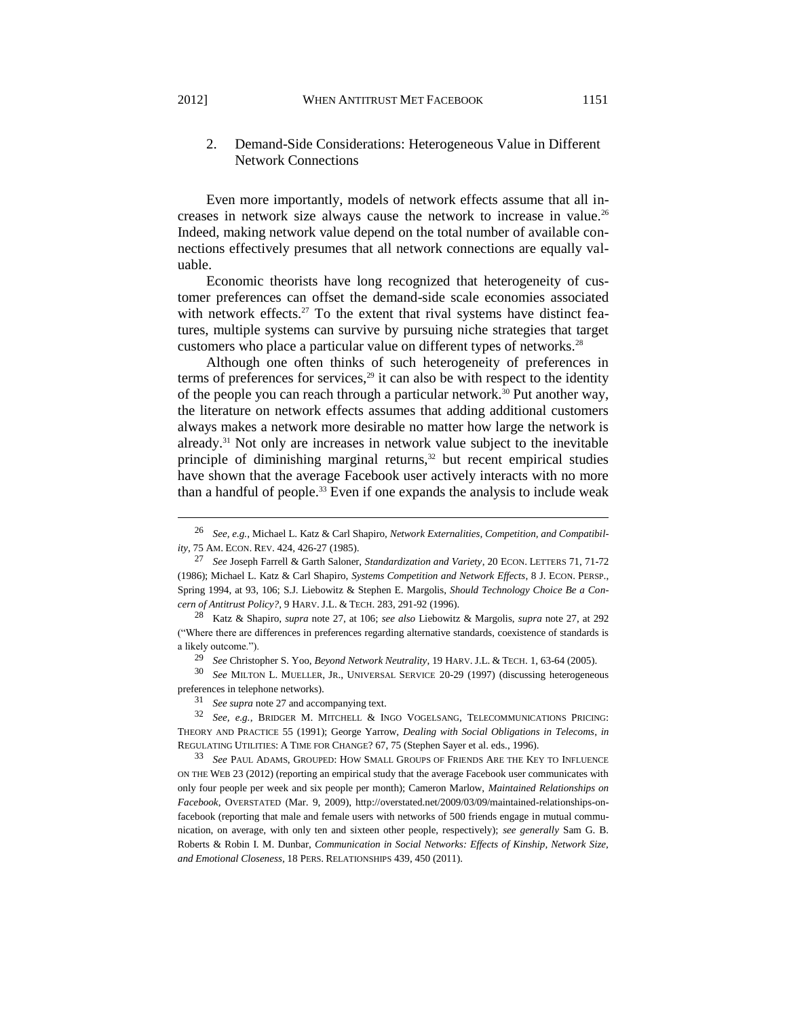### <span id="page-5-2"></span>2. Demand-Side Considerations: Heterogeneous Value in Different Network Connections

Even more importantly, models of network effects assume that all increases in network size always cause the network to increase in value.<sup>26</sup> Indeed, making network value depend on the total number of available connections effectively presumes that all network connections are equally valuable.

<span id="page-5-0"></span>Economic theorists have long recognized that heterogeneity of customer preferences can offset the demand-side scale economies associated with network effects.<sup>27</sup> To the extent that rival systems have distinct features, multiple systems can survive by pursuing niche strategies that target customers who place a particular value on different types of networks.<sup>28</sup>

<span id="page-5-1"></span>Although one often thinks of such heterogeneity of preferences in terms of preferences for services, $29$  it can also be with respect to the identity of the people you can reach through a particular network.<sup>30</sup> Put another way, the literature on network effects assumes that adding additional customers always makes a network more desirable no matter how large the network is already.<sup>31</sup> Not only are increases in network value subject to the inevitable principle of diminishing marginal returns, $32$  but recent empirical studies have shown that the average Facebook user actively interacts with no more than a handful of people.<sup>33</sup> Even if one expands the analysis to include weak

<sup>30</sup> *See* MILTON L. MUELLER, JR., UNIVERSAL SERVICE 20-29 (1997) (discussing heterogeneous preferences in telephone networks).

<sup>31</sup> *See supra* not[e 27](#page-5-0) and accompanying text.

<sup>26</sup> *See, e.g.*, Michael L. Katz & Carl Shapiro, *Network Externalities, Competition, and Compatibility*, 75 AM. ECON. REV. 424, 426-27 (1985).

<sup>27</sup> *See* Joseph Farrell & Garth Saloner, *Standardization and Variety*, 20 ECON. LETTERS 71, 71-72 (1986); Michael L. Katz & Carl Shapiro, *Systems Competition and Network Effects*, 8 J. ECON. PERSP., Spring 1994, at 93, 106; S.J. Liebowitz & Stephen E. Margolis, *Should Technology Choice Be a Concern of Antitrust Policy?*, 9 HARV. J.L. & TECH. 283, 291-92 (1996).

<sup>28</sup> Katz & Shapiro, *supra* note [27,](#page-5-0) at 106; *see also* Liebowitz & Margolis, *supra* not[e 27,](#page-5-0) at 292 ("Where there are differences in preferences regarding alternative standards, coexistence of standards is a likely outcome.").

<sup>29</sup> *See* Christopher S. Yoo, *Beyond Network Neutrality*, 19 HARV. J.L. & TECH. 1, 63-64 (2005).

<sup>32</sup> *See, e.g.*, BRIDGER M. MITCHELL & INGO VOGELSANG, TELECOMMUNICATIONS PRICING: THEORY AND PRACTICE 55 (1991); George Yarrow, *Dealing with Social Obligations in Telecoms*, *in* REGULATING UTILITIES: A TIME FOR CHANGE? 67, 75 (Stephen Sayer et al. eds., 1996).

<sup>33</sup> *See* PAUL ADAMS, GROUPED: HOW SMALL GROUPS OF FRIENDS ARE THE KEY TO INFLUENCE ON THE WEB 23 (2012) (reporting an empirical study that the average Facebook user communicates with only four people per week and six people per month); Cameron Marlow, *Maintained Relationships on Facebook*, OVERSTATED (Mar. 9, 2009), [http://overstated.net/2009/03/09/maintained-relationships-on](http://overstated.net/2009/03/09/maintained-relationships-on-facebook)[facebook](http://overstated.net/2009/03/09/maintained-relationships-on-facebook) (reporting that male and female users with networks of 500 friends engage in mutual communication, on average, with only ten and sixteen other people, respectively); *see generally* Sam G. B. Roberts & Robin I. M. Dunbar, *Communication in Social Networks: Effects of Kinship, Network Size, and Emotional Closeness*, 18 PERS. RELATIONSHIPS 439, 450 (2011).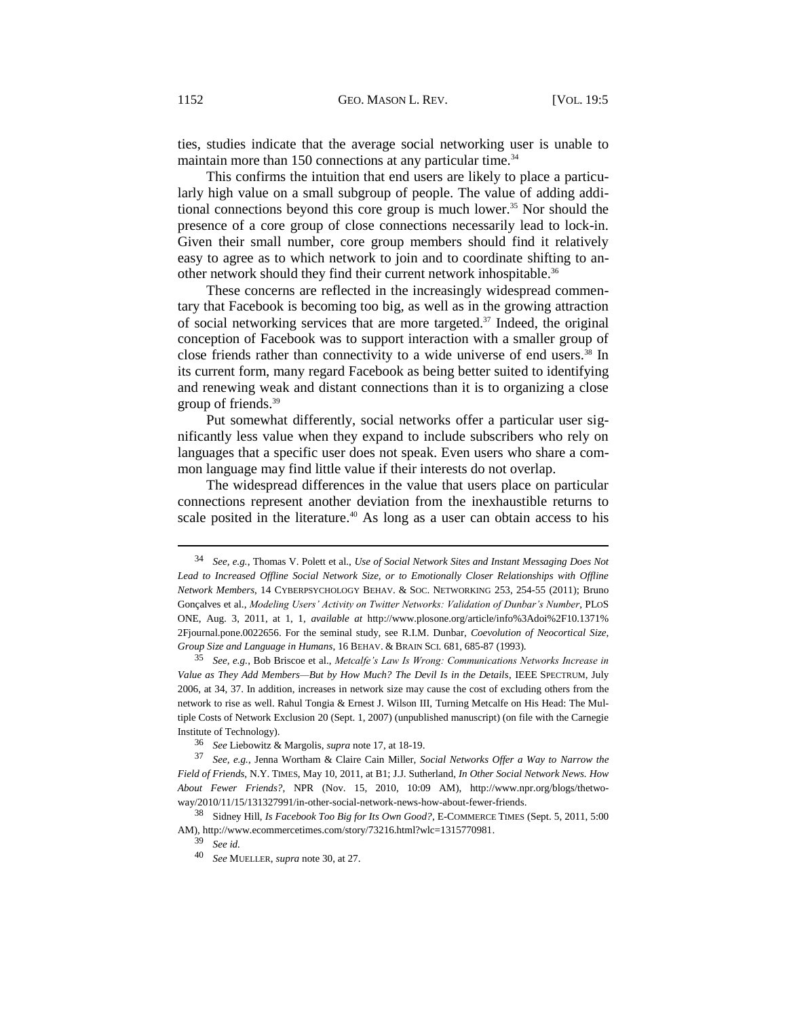ties, studies indicate that the average social networking user is unable to maintain more than 150 connections at any particular time.<sup>34</sup>

This confirms the intuition that end users are likely to place a particularly high value on a small subgroup of people. The value of adding additional connections beyond this core group is much lower.<sup>35</sup> Nor should the presence of a core group of close connections necessarily lead to lock-in. Given their small number, core group members should find it relatively easy to agree as to which network to join and to coordinate shifting to another network should they find their current network inhospitable.<sup>36</sup>

These concerns are reflected in the increasingly widespread commentary that Facebook is becoming too big, as well as in the growing attraction of social networking services that are more targeted.<sup>37</sup> Indeed, the original conception of Facebook was to support interaction with a smaller group of close friends rather than connectivity to a wide universe of end users.<sup>38</sup> In its current form, many regard Facebook as being better suited to identifying and renewing weak and distant connections than it is to organizing a close group of friends.<sup>39</sup>

Put somewhat differently, social networks offer a particular user significantly less value when they expand to include subscribers who rely on languages that a specific user does not speak. Even users who share a common language may find little value if their interests do not overlap.

The widespread differences in the value that users place on particular connections represent another deviation from the inexhaustible returns to scale posited in the literature.<sup>40</sup> As long as a user can obtain access to his

<sup>34</sup> *See, e.g.*, Thomas V. Polett et al., *Use of Social Network Sites and Instant Messaging Does Not Lead to Increased Offline Social Network Size, or to Emotionally Closer Relationships with Offline Network Members*, 14 CYBERPSYCHOLOGY BEHAV. & SOC. NETWORKING 253, 254-55 (2011); Bruno Gonçalves et al., *Modeling Users' Activity on Twitter Networks: Validation of Dunbar's Number*, PLOS ONE, Aug. 3, 2011, at 1, 1, *available at* [http://www.plosone.org/article/info%3Adoi%2F10.1371%](http://www.plosone.org/article/info%3Adoi%2F10.1371%2Fjournal.pone.0022656) [2Fjournal.pone.0022656.](http://www.plosone.org/article/info%3Adoi%2F10.1371%2Fjournal.pone.0022656) For the seminal study, see R.I.M. Dunbar, *Coevolution of Neocortical Size, Group Size and Language in Humans*, 16 BEHAV. & BRAIN SCI. 681, 685-87 (1993).

<sup>35</sup> *See, e.g.*, Bob Briscoe et al., *Metcalfe's Law Is Wrong: Communications Networks Increase in Value as They Add Members—But by How Much? The Devil Is in the Details*, IEEE SPECTRUM, July 2006, at 34, 37. In addition, increases in network size may cause the cost of excluding others from the network to rise as well. Rahul Tongia & Ernest J. Wilson III, Turning Metcalfe on His Head: The Multiple Costs of Network Exclusion 20 (Sept. 1, 2007) (unpublished manuscript) (on file with the Carnegie Institute of Technology).

<sup>36</sup> *See* Liebowitz & Margolis, *supra* not[e 17,](#page-3-0) at 18-19.

<sup>37</sup> *See, e.g.*, Jenna Wortham & Claire Cain Miller, *Social Networks Offer a Way to Narrow the Field of Friends*, N.Y. TIMES, May 10, 2011, at B1; J.J. Sutherland, *In Other Social Network News. How About Fewer Friends?*, NPR (Nov. 15, 2010, 10:09 AM), [http://www.npr.org/blogs/thetwo](http://www.npr.org/blogs/thetwo-way/2010/11/15/131327991/in-other-social-network-news-how-about-fewer-friends)[way/2010/11/15/131327991/in-other-social-network-news-how-about-fewer-friends.](http://www.npr.org/blogs/thetwo-way/2010/11/15/131327991/in-other-social-network-news-how-about-fewer-friends)

<sup>38</sup> Sidney Hill, *Is Facebook Too Big for Its Own Good?*, E-COMMERCE TIMES (Sept. 5, 2011, 5:00 AM), [http://www.ecommercetimes.com/story/73216.html?wlc=1315770981.](http://www.ecommercetimes.com/story/73216.html?wlc=1315770981)

<sup>39</sup> *See id.*

<sup>40</sup> *See* MUELLER, *supra* not[e 30,](#page-5-1) at 27.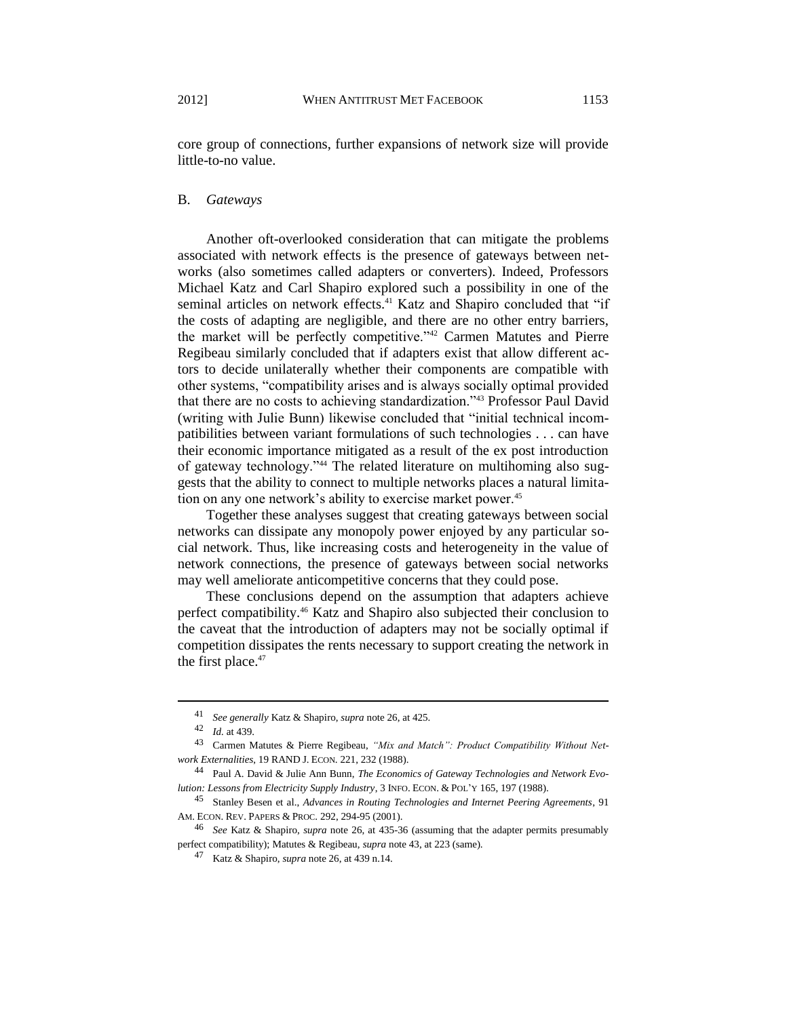core group of connections, further expansions of network size will provide little-to-no value.

#### B. *Gateways*

Another oft-overlooked consideration that can mitigate the problems associated with network effects is the presence of gateways between networks (also sometimes called adapters or converters). Indeed, Professors Michael Katz and Carl Shapiro explored such a possibility in one of the seminal articles on network effects.<sup>41</sup> Katz and Shapiro concluded that "if the costs of adapting are negligible, and there are no other entry barriers, the market will be perfectly competitive."<sup>42</sup> Carmen Matutes and Pierre Regibeau similarly concluded that if adapters exist that allow different actors to decide unilaterally whether their components are compatible with other systems, "compatibility arises and is always socially optimal provided that there are no costs to achieving standardization."<sup>43</sup> Professor Paul David (writing with Julie Bunn) likewise concluded that "initial technical incompatibilities between variant formulations of such technologies . . . can have their economic importance mitigated as a result of the ex post introduction of gateway technology."<sup>44</sup> The related literature on multihoming also suggests that the ability to connect to multiple networks places a natural limitation on any one network's ability to exercise market power.<sup>45</sup>

<span id="page-7-0"></span>Together these analyses suggest that creating gateways between social networks can dissipate any monopoly power enjoyed by any particular social network. Thus, like increasing costs and heterogeneity in the value of network connections, the presence of gateways between social networks may well ameliorate anticompetitive concerns that they could pose.

These conclusions depend on the assumption that adapters achieve perfect compatibility.<sup>46</sup> Katz and Shapiro also subjected their conclusion to the caveat that the introduction of adapters may not be socially optimal if competition dissipates the rents necessary to support creating the network in the first place. $47$ 

<sup>41</sup> *See generally* Katz & Shapiro, *supra* not[e 26,](#page-5-2) at 425.

<sup>42</sup> *Id.* at 439.

<sup>43</sup> Carmen Matutes & Pierre Regibeau, *"Mix and Match": Product Compatibility Without Network Externalities*, 19 RAND J. ECON. 221, 232 (1988).

<sup>44</sup> Paul A. David & Julie Ann Bunn, *The Economics of Gateway Technologies and Network Evolution: Lessons from Electricity Supply Industry*, 3 INFO. ECON. & POL'Y 165, 197 (1988).

<sup>45</sup> Stanley Besen et al., *Advances in Routing Technologies and Internet Peering Agreements*, 91 AM. ECON. REV. PAPERS & PROC. 292, 294-95 (2001).

<sup>46</sup> *See* Katz & Shapiro, *supra* note [26,](#page-5-2) at 435-36 (assuming that the adapter permits presumably perfect compatibility); Matutes & Regibeau, *supra* not[e 43,](#page-7-0) at 223 (same).

<sup>47</sup> Katz & Shapiro, *supra* not[e 26,](#page-5-2) at 439 n.14.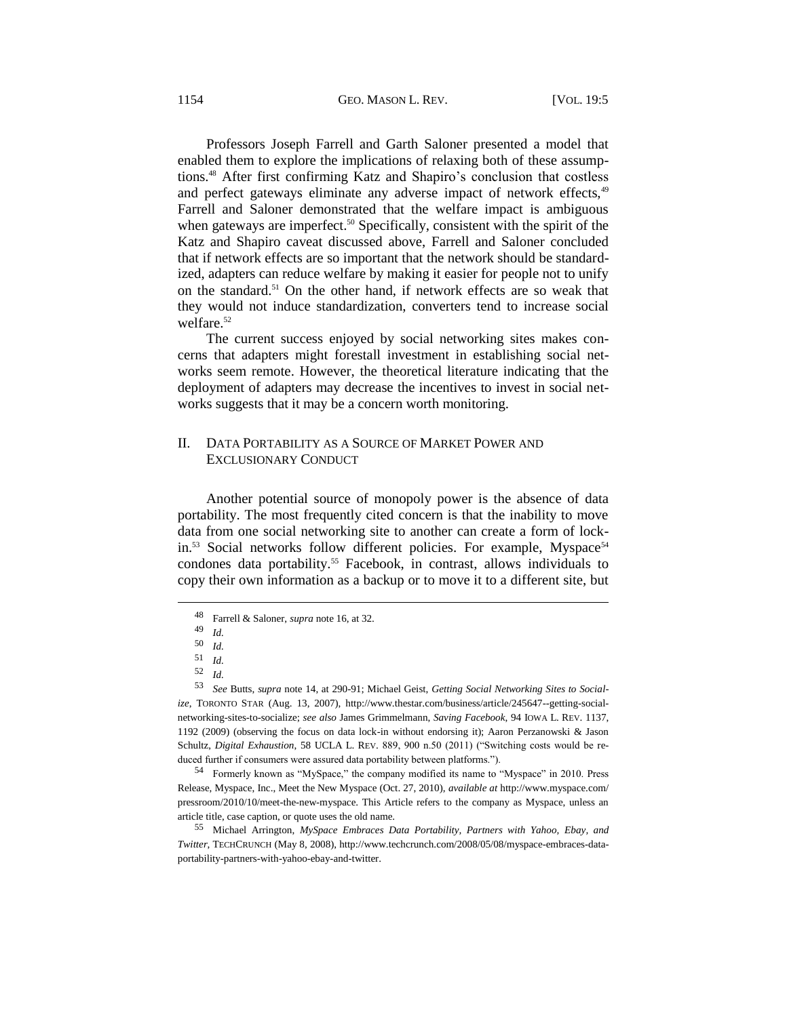Professors Joseph Farrell and Garth Saloner presented a model that enabled them to explore the implications of relaxing both of these assumptions.<sup>48</sup> After first confirming Katz and Shapiro's conclusion that costless and perfect gateways eliminate any adverse impact of network effects,<sup>49</sup> Farrell and Saloner demonstrated that the welfare impact is ambiguous when gateways are imperfect.<sup>50</sup> Specifically, consistent with the spirit of the Katz and Shapiro caveat discussed above, Farrell and Saloner concluded that if network effects are so important that the network should be standardized, adapters can reduce welfare by making it easier for people not to unify on the standard.<sup>51</sup> On the other hand, if network effects are so weak that they would not induce standardization, converters tend to increase social welfare.<sup>52</sup>

The current success enjoyed by social networking sites makes concerns that adapters might forestall investment in establishing social networks seem remote. However, the theoretical literature indicating that the deployment of adapters may decrease the incentives to invest in social networks suggests that it may be a concern worth monitoring.

## II. DATA PORTABILITY AS A SOURCE OF MARKET POWER AND EXCLUSIONARY CONDUCT

<span id="page-8-0"></span>Another potential source of monopoly power is the absence of data portability. The most frequently cited concern is that the inability to move data from one social networking site to another can create a form of lockin.<sup>53</sup> Social networks follow different policies. For example, Myspace<sup>54</sup> condones data portability.<sup>55</sup> Facebook, in contrast, allows individuals to copy their own information as a backup or to move it to a different site, but

<sup>54</sup> Formerly known as "MySpace," the company modified its name to "Myspace" in 2010. Press Release, Myspace, Inc., Meet the New Myspace (Oct. 27, 2010), *available at* [http://www.myspace.com/](http://www.myspace.com/pressroom/2010/10/meet-the-new-myspace) [pressroom/2010/10/meet-the-new-myspace.](http://www.myspace.com/pressroom/2010/10/meet-the-new-myspace) This Article refers to the company as Myspace, unless an article title, case caption, or quote uses the old name.

<sup>55</sup> Michael Arrington, *MySpace Embraces Data Portability, Partners with Yahoo, Ebay, and Twitter*, TECHCRUNCH (May 8, 2008), [http://www.techcrunch.com/2008/05/08/myspace-embraces-data](http://www.techcrunch.com/2008/05/08/myspace-embraces-data-portability-partners-with-yahoo-ebay-and-twitter)[portability-partners-with-yahoo-ebay-and-twitter.](http://www.techcrunch.com/2008/05/08/myspace-embraces-data-portability-partners-with-yahoo-ebay-and-twitter) 

<sup>48</sup> Farrell & Saloner, *supra* not[e 16,](#page-3-1) at 32.

 $\frac{49}{50}$  *Id.* 

<sup>50</sup> *Id.*

 $\frac{51}{52}$  *Id.* 

<sup>52</sup> *Id.*

<sup>53</sup> *See* Butts, *supra* not[e 14,](#page-2-1) at 290-91; Michael Geist, *Getting Social Networking Sites to Socialize*, TORONTO STAR (Aug. 13, 2007), [http://www.thestar.com/business/article/245647--getting-social](http://www.thestar.com/business/article/245647--getting-social-networking-sites-to-socialize)[networking-sites-to-socialize;](http://www.thestar.com/business/article/245647--getting-social-networking-sites-to-socialize) *see also* James Grimmelmann, *Saving Facebook*, 94 IOWA L. REV. 1137, 1192 (2009) (observing the focus on data lock-in without endorsing it); Aaron Perzanowski & Jason Schultz, *Digital Exhaustion*, 58 UCLA L. REV. 889, 900 n.50 (2011) ("Switching costs would be reduced further if consumers were assured data portability between platforms.").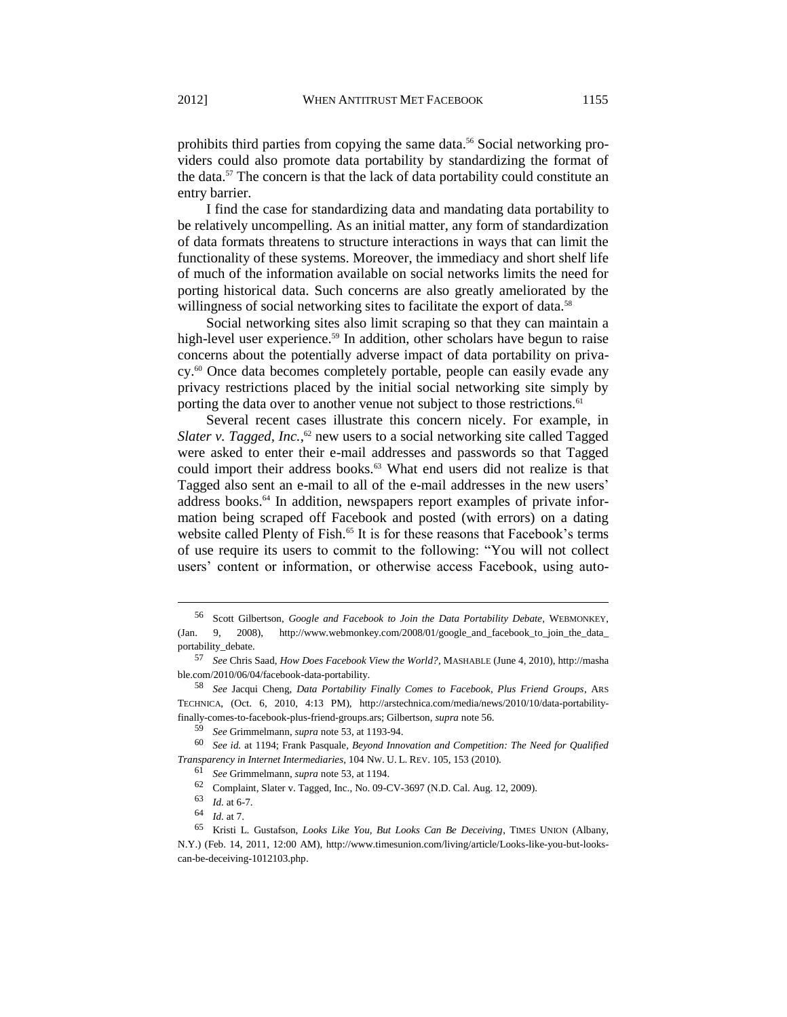<span id="page-9-0"></span>prohibits third parties from copying the same data.<sup>56</sup> Social networking providers could also promote data portability by standardizing the format of the data.<sup>57</sup> The concern is that the lack of data portability could constitute an entry barrier.

I find the case for standardizing data and mandating data portability to be relatively uncompelling. As an initial matter, any form of standardization of data formats threatens to structure interactions in ways that can limit the functionality of these systems. Moreover, the immediacy and short shelf life of much of the information available on social networks limits the need for porting historical data. Such concerns are also greatly ameliorated by the willingness of social networking sites to facilitate the export of data.<sup>58</sup>

Social networking sites also limit scraping so that they can maintain a high-level user experience.<sup>59</sup> In addition, other scholars have begun to raise concerns about the potentially adverse impact of data portability on privacy.<sup>60</sup> Once data becomes completely portable, people can easily evade any privacy restrictions placed by the initial social networking site simply by porting the data over to another venue not subject to those restrictions.<sup>61</sup>

Several recent cases illustrate this concern nicely. For example, in Slater v. Tagged, Inc.,<sup>62</sup> new users to a social networking site called Tagged were asked to enter their e-mail addresses and passwords so that Tagged could import their address books.<sup>63</sup> What end users did not realize is that Tagged also sent an e-mail to all of the e-mail addresses in the new users' address books.<sup>64</sup> In addition, newspapers report examples of private information being scraped off Facebook and posted (with errors) on a dating website called Plenty of Fish.<sup>65</sup> It is for these reasons that Facebook's terms of use require its users to commit to the following: "You will not collect users' content or information, or otherwise access Facebook, using auto-

<sup>56</sup> Scott Gilbertson, *Google and Facebook to Join the Data Portability Debate*, WEBMONKEY, (Jan. 9, 2008), [http://www.webmonkey.com/2008/01/google\\_and\\_facebook\\_to\\_join\\_the\\_data\\_](http://www.webmonkey.com/2008/01/google_and_facebook_to_join_the_data_portability_debate) [portability\\_debate.](http://www.webmonkey.com/2008/01/google_and_facebook_to_join_the_data_portability_debate) 

<sup>57</sup> *See* Chris Saad, *How Does Facebook View the World?*, MASHABLE (June 4, 2010)[, http://masha](http://mashable.com/2010/06/04/facebook-data-portability) [ble.com/2010/06/04/facebook-data-portability.](http://mashable.com/2010/06/04/facebook-data-portability)

<sup>58</sup> *See* Jacqui Cheng, *Data Portability Finally Comes to Facebook, Plus Friend Groups*, ARS TECHNICA, (Oct. 6, 2010, 4:13 PM), [http://arstechnica.com/media/news/2010/10/data-portability](http://arstechnica.com/media/news/2010/10/data-portability-finally-comes-to-facebook-plus-friend-groups.ars)[finally-comes-to-facebook-plus-friend-groups.ars;](http://arstechnica.com/media/news/2010/10/data-portability-finally-comes-to-facebook-plus-friend-groups.ars) Gilbertson, *supra* not[e 56.](#page-9-0)

<sup>59</sup> *See* Grimmelmann, *supra* not[e 53,](#page-8-0) at 1193-94.

<sup>60</sup> *See id.* at 1194; Frank Pasquale, *Beyond Innovation and Competition: The Need for Qualified Transparency in Internet Intermediaries*, 104 NW. U. L. REV. 105, 153 (2010).

<sup>61</sup> *See* Grimmelmann, *supra* not[e 53,](#page-8-0) at 1194.

<sup>62</sup> Complaint, Slater v. Tagged, Inc., No. 09-CV-3697 (N.D. Cal. Aug. 12, 2009).

<sup>63</sup> *Id.* at 6-7.

<sup>64</sup> *Id.* at 7.

<sup>65</sup> Kristi L. Gustafson, *Looks Like You, But Looks Can Be Deceiving*, TIMES UNION (Albany, N.Y.) (Feb. 14, 2011, 12:00 AM), [http://www.timesunion.com/living/article/Looks-like-you-but-looks](http://www.timesunion.com/living/article/Looks-like-you-but-looks-can-be-deceiving-1012103.php)[can-be-deceiving-1012103.php.](http://www.timesunion.com/living/article/Looks-like-you-but-looks-can-be-deceiving-1012103.php)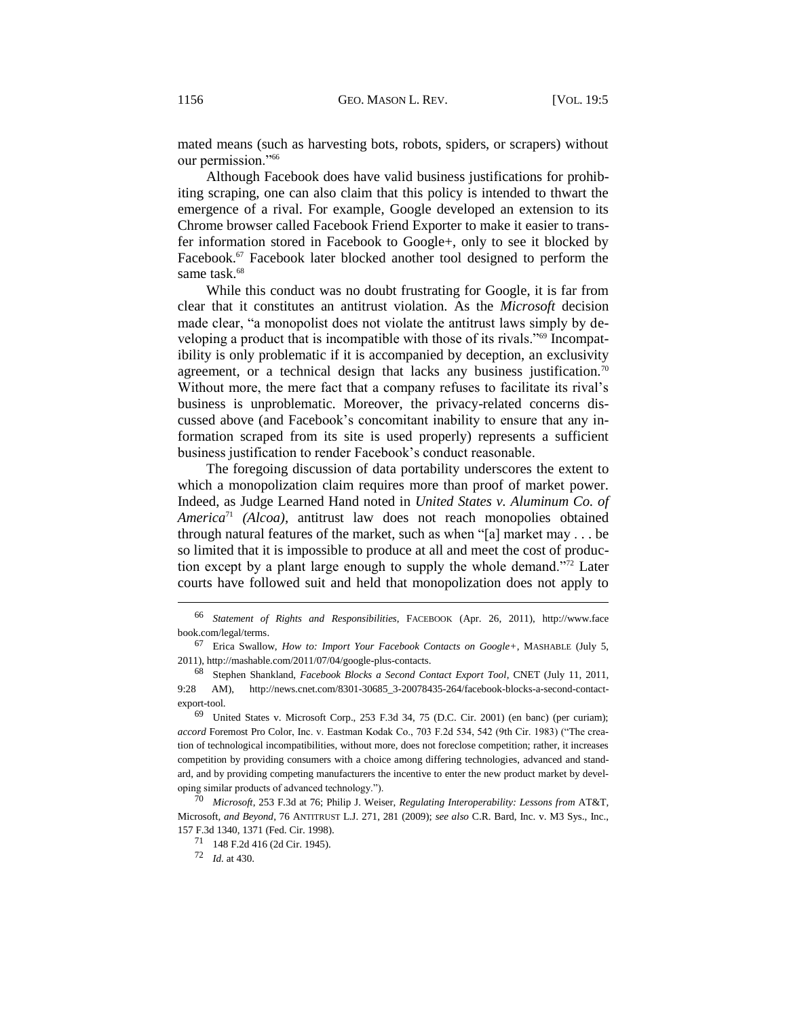mated means (such as harvesting bots, robots, spiders, or scrapers) without our permission."<sup>66</sup>

Although Facebook does have valid business justifications for prohibiting scraping, one can also claim that this policy is intended to thwart the emergence of a rival. For example, Google developed an extension to its Chrome browser called Facebook Friend Exporter to make it easier to transfer information stored in Facebook to Google+, only to see it blocked by Facebook.<sup>67</sup> Facebook later blocked another tool designed to perform the same task.<sup>68</sup>

While this conduct was no doubt frustrating for Google, it is far from clear that it constitutes an antitrust violation. As the *Microsoft* decision made clear, "a monopolist does not violate the antitrust laws simply by developing a product that is incompatible with those of its rivals."<sup>69</sup> Incompatibility is only problematic if it is accompanied by deception, an exclusivity agreement, or a technical design that lacks any business justification.<sup>70</sup> Without more, the mere fact that a company refuses to facilitate its rival's business is unproblematic. Moreover, the privacy-related concerns discussed above (and Facebook's concomitant inability to ensure that any information scraped from its site is used properly) represents a sufficient business justification to render Facebook's conduct reasonable.

The foregoing discussion of data portability underscores the extent to which a monopolization claim requires more than proof of market power. Indeed, as Judge Learned Hand noted in *United States v. Aluminum Co. of America*<sup>71</sup> *(Alcoa)*, antitrust law does not reach monopolies obtained through natural features of the market, such as when "[a] market may . . . be so limited that it is impossible to produce at all and meet the cost of production except by a plant large enough to supply the whole demand."<sup>72</sup> Later courts have followed suit and held that monopolization does not apply to

<sup>70</sup> *Microsoft*, 253 F.3d at 76; Philip J. Weiser, *Regulating Interoperability: Lessons from* AT&T*,*  Microsoft*, and Beyond*, 76 ANTITRUST L.J. 271, 281 (2009); *see also* C.R. Bard, Inc. v. M3 Sys., Inc., 157 F.3d 1340, 1371 (Fed. Cir. 1998).

<sup>66</sup> *Statement of Rights and Responsibilities*, FACEBOOK (Apr. 26, 2011), [http://www.face](http://www.facebook.com/legal/terms) [book.com/legal/terms.](http://www.facebook.com/legal/terms)

<sup>67</sup> Erica Swallow, *How to: Import Your Facebook Contacts on Google+*, MASHABLE (July 5, 2011), [http://mashable.com/2011/07/04/google-plus-contacts.](http://mashable.com/2011/07/04/google-plus-contacts) 

<sup>68</sup> Stephen Shankland, *Facebook Blocks a Second Contact Export Tool*, CNET (July 11, 2011, 9:28 AM), [http://news.cnet.com/8301-30685\\_3-20078435-264/facebook-blocks-a-second-contact](http://news.cnet.com/8301-30685_3-20078435-264/facebook-blocks-a-second-contact-export-tool)[export-tool.](http://news.cnet.com/8301-30685_3-20078435-264/facebook-blocks-a-second-contact-export-tool)

<sup>69</sup> United States v. Microsoft Corp., 253 F.3d 34, 75 (D.C. Cir. 2001) (en banc) (per curiam); *accord* Foremost Pro Color, Inc. v. Eastman Kodak Co., 703 F.2d 534, 542 (9th Cir. 1983) ("The creation of technological incompatibilities, without more, does not foreclose competition; rather, it increases competition by providing consumers with a choice among differing technologies, advanced and standard, and by providing competing manufacturers the incentive to enter the new product market by developing similar products of advanced technology.").

<sup>71</sup> 148 F.2d 416 (2d Cir. 1945).

<sup>72</sup> *Id.* at 430.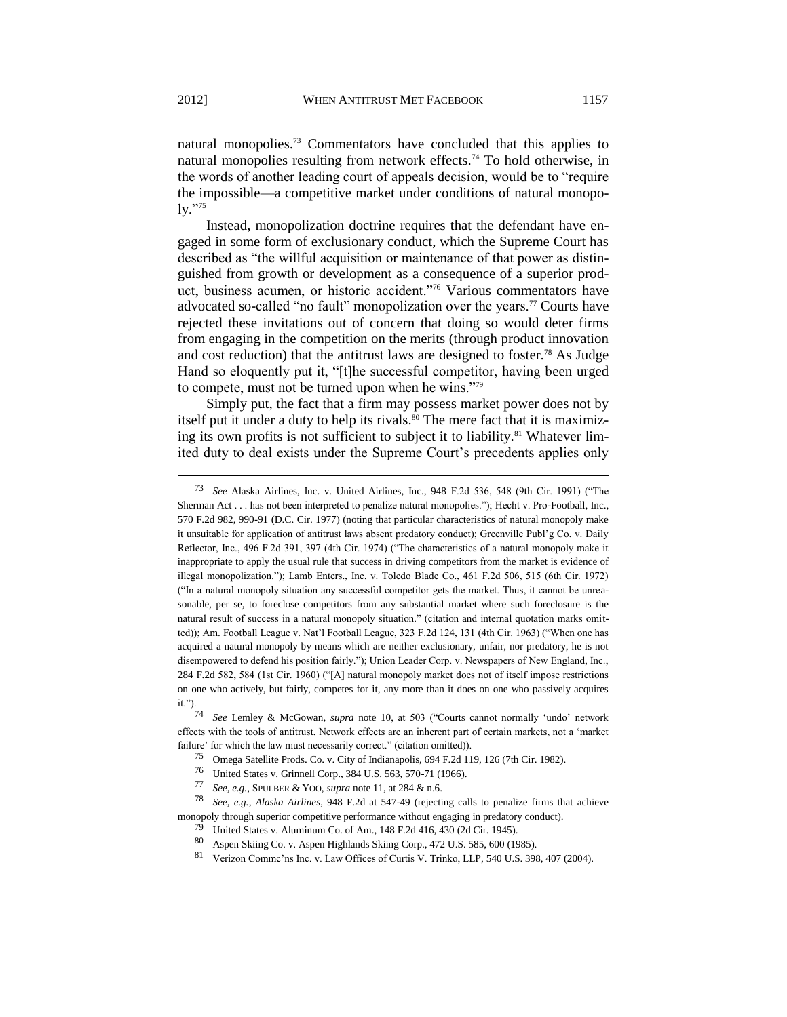natural monopolies.<sup>73</sup> Commentators have concluded that this applies to natural monopolies resulting from network effects.<sup>74</sup> To hold otherwise, in the words of another leading court of appeals decision, would be to "require the impossible—a competitive market under conditions of natural monopo- $\mathrm{lv.}$ "75

Instead, monopolization doctrine requires that the defendant have engaged in some form of exclusionary conduct, which the Supreme Court has described as "the willful acquisition or maintenance of that power as distinguished from growth or development as a consequence of a superior product, business acumen, or historic accident."<sup>76</sup> Various commentators have advocated so-called "no fault" monopolization over the years.<sup>77</sup> Courts have rejected these invitations out of concern that doing so would deter firms from engaging in the competition on the merits (through product innovation and cost reduction) that the antitrust laws are designed to foster.<sup>78</sup> As Judge Hand so eloquently put it, "[t]he successful competitor, having been urged to compete, must not be turned upon when he wins."<sup>79</sup>

Simply put, the fact that a firm may possess market power does not by itself put it under a duty to help its rivals.<sup>80</sup> The mere fact that it is maximizing its own profits is not sufficient to subject it to liability.<sup>81</sup> Whatever limited duty to deal exists under the Supreme Court's precedents applies only

<sup>73</sup> *See* Alaska Airlines, Inc. v. United Airlines, Inc., 948 F.2d 536, 548 (9th Cir. 1991) ("The Sherman Act . . . has not been interpreted to penalize natural monopolies."); Hecht v. Pro-Football, Inc., 570 F.2d 982, 990-91 (D.C. Cir. 1977) (noting that particular characteristics of natural monopoly make it unsuitable for application of antitrust laws absent predatory conduct); Greenville Publ'g Co. v. Daily Reflector, Inc., 496 F.2d 391, 397 (4th Cir. 1974) ("The characteristics of a natural monopoly make it inappropriate to apply the usual rule that success in driving competitors from the market is evidence of illegal monopolization."); Lamb Enters., Inc. v. Toledo Blade Co., 461 F.2d 506, 515 (6th Cir. 1972) ("In a natural monopoly situation any successful competitor gets the market. Thus, it cannot be unreasonable, per se, to foreclose competitors from any substantial market where such foreclosure is the natural result of success in a natural monopoly situation." (citation and internal quotation marks omitted)); Am. Football League v. Nat'l Football League, 323 F.2d 124, 131 (4th Cir. 1963) ("When one has acquired a natural monopoly by means which are neither exclusionary, unfair, nor predatory, he is not disempowered to defend his position fairly."); Union Leader Corp. v. Newspapers of New England, Inc., 284 F.2d 582, 584 (1st Cir. 1960) ("[A] natural monopoly market does not of itself impose restrictions on one who actively, but fairly, competes for it, any more than it does on one who passively acquires it.").  $74$ 

<sup>74</sup> *See* Lemley & McGowan, *supra* note [10,](#page-2-2) at 503 ("Courts cannot normally 'undo' network effects with the tools of antitrust. Network effects are an inherent part of certain markets, not a 'market failure' for which the law must necessarily correct." (citation omitted)).

<sup>75</sup> Omega Satellite Prods. Co. v. City of Indianapolis, 694 F.2d 119, 126 (7th Cir. 1982).

<sup>76</sup> United States v. Grinnell Corp., 384 U.S. 563, 570-71 (1966).<br>77 See e.g. SPULBER & YOO, sunta pote 11 at 284 & n.6

<sup>77</sup> *See, e.g.*, SPULBER & YOO, *supra* not[e 11,](#page-2-0) at 284 & n.6.

<sup>78</sup> *See, e.g.*, *Alaska Airlines*, 948 F.2d at 547-49 (rejecting calls to penalize firms that achieve monopoly through superior competitive performance without engaging in predatory conduct).

<sup>79</sup> United States v. Aluminum Co. of Am., 148 F.2d 416, 430 (2d Cir. 1945).

<sup>80</sup> Aspen Skiing Co. v. Aspen Highlands Skiing Corp., 472 U.S. 585, 600 (1985).

<sup>81</sup> Verizon Commc'ns Inc. v. Law Offices of Curtis V. Trinko, LLP, 540 U.S. 398, 407 (2004).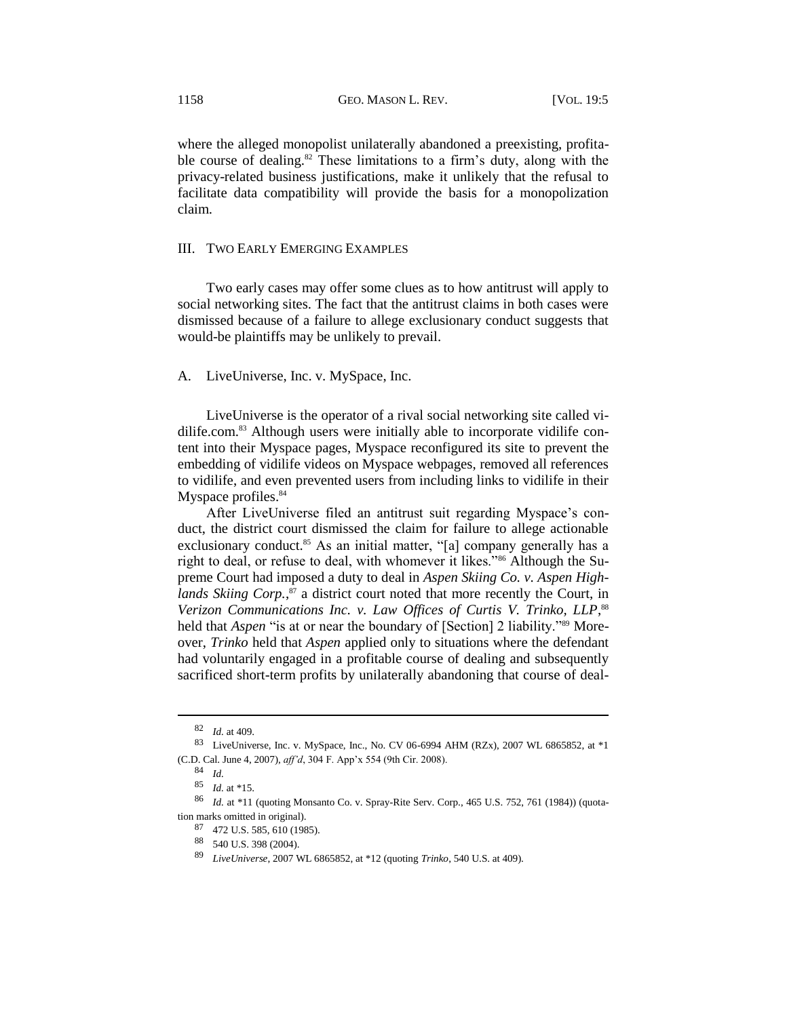where the alleged monopolist unilaterally abandoned a preexisting, profitable course of dealing.<sup>82</sup> These limitations to a firm's duty, along with the privacy-related business justifications, make it unlikely that the refusal to facilitate data compatibility will provide the basis for a monopolization claim.

#### III. TWO EARLY EMERGING EXAMPLES

Two early cases may offer some clues as to how antitrust will apply to social networking sites. The fact that the antitrust claims in both cases were dismissed because of a failure to allege exclusionary conduct suggests that would-be plaintiffs may be unlikely to prevail.

#### A. LiveUniverse, Inc. v. MySpace, Inc.

LiveUniverse is the operator of a rival social networking site called vidilife.com.<sup>83</sup> Although users were initially able to incorporate vidilife content into their Myspace pages, Myspace reconfigured its site to prevent the embedding of vidilife videos on Myspace webpages, removed all references to vidilife, and even prevented users from including links to vidilife in their Myspace profiles.<sup>84</sup>

After LiveUniverse filed an antitrust suit regarding Myspace's conduct, the district court dismissed the claim for failure to allege actionable exclusionary conduct.<sup>85</sup> As an initial matter, "[a] company generally has a right to deal, or refuse to deal, with whomever it likes."<sup>86</sup> Although the Supreme Court had imposed a duty to deal in *Aspen Skiing Co. v. Aspen High*lands Skiing Corp.,<sup>87</sup> a district court noted that more recently the Court, in Verizon Communications Inc. v. Law Offices of Curtis V. Trinko, LLP,<sup>88</sup> held that *Aspen* "is at or near the boundary of [Section] 2 liability."<sup>89</sup> Moreover, *Trinko* held that *Aspen* applied only to situations where the defendant had voluntarily engaged in a profitable course of dealing and subsequently sacrificed short-term profits by unilaterally abandoning that course of deal-

<sup>82</sup> *Id.* at 409.

<sup>83</sup> LiveUniverse, Inc. v. MySpace, Inc., No. CV 06-6994 AHM (RZx), 2007 WL 6865852, at \*1 (C.D. Cal. June 4, 2007), *aff'd*, 304 F. App'x 554 (9th Cir. 2008).

<sup>84</sup> *Id.*

<sup>85</sup> *Id.* at \*15.

<sup>86</sup> *Id.* at \*11 (quoting Monsanto Co. v. Spray-Rite Serv. Corp., 465 U.S. 752, 761 (1984)) (quotation marks omitted in original).

<sup>87</sup> 472 U.S. 585, 610 (1985).

<sup>88</sup> 540 U.S. 398 (2004).

<sup>89</sup> *LiveUniverse*, 2007 WL 6865852, at \*12 (quoting *Trinko*, 540 U.S. at 409).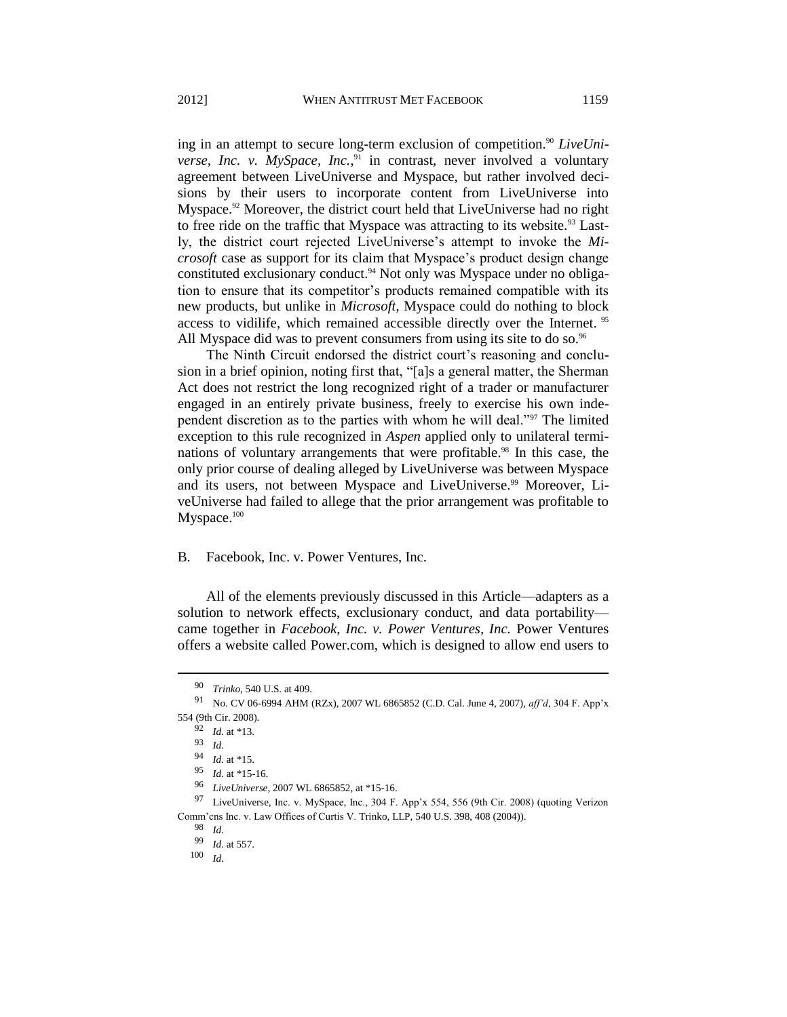ing in an attempt to secure long-term exclusion of competition.<sup>90</sup> *LiveUniverse, Inc. v. MySpace, Inc.*<sup>91</sup> in contrast, never involved a voluntary agreement between LiveUniverse and Myspace, but rather involved decisions by their users to incorporate content from LiveUniverse into Myspace.<sup>92</sup> Moreover, the district court held that LiveUniverse had no right to free ride on the traffic that Myspace was attracting to its website.<sup>93</sup> Lastly, the district court rejected LiveUniverse's attempt to invoke the *Microsoft* case as support for its claim that Myspace's product design change constituted exclusionary conduct.<sup>94</sup> Not only was Myspace under no obligation to ensure that its competitor's products remained compatible with its new products, but unlike in *Microsoft*, Myspace could do nothing to block access to vidilife, which remained accessible directly over the Internet. <sup>95</sup> All Myspace did was to prevent consumers from using its site to do so.<sup>96</sup>

The Ninth Circuit endorsed the district court's reasoning and conclusion in a brief opinion, noting first that, "[a]s a general matter, the Sherman Act does not restrict the long recognized right of a trader or manufacturer engaged in an entirely private business, freely to exercise his own independent discretion as to the parties with whom he will deal."<sup>97</sup> The limited exception to this rule recognized in *Aspen* applied only to unilateral terminations of voluntary arrangements that were profitable.<sup>98</sup> In this case, the only prior course of dealing alleged by LiveUniverse was between Myspace and its users, not between Myspace and LiveUniverse.<sup>99</sup> Moreover, LiveUniverse had failed to allege that the prior arrangement was profitable to Myspace.<sup>100</sup>

#### B. Facebook, Inc. v. Power Ventures, Inc.

All of the elements previously discussed in this Article—adapters as a solution to network effects, exclusionary conduct, and data portability came together in *Facebook, Inc. v. Power Ventures, Inc.* Power Ventures offers a website called Power.com, which is designed to allow end users to

<sup>90</sup> *Trinko*, 540 U.S. at 409.

<sup>91</sup> No. CV 06-6994 AHM (RZx), 2007 WL 6865852 (C.D. Cal. June 4, 2007), *aff'd*, 304 F. App'x 554 (9th Cir. 2008).

<sup>92</sup> *Id.* at \*13.

<sup>93</sup> *Id.*

<sup>94</sup> *Id.* at \*15.

<sup>95</sup> *Id.* at \*15-16.

<sup>96</sup> *LiveUniverse*, 2007 WL 6865852, at \*15-16.

<sup>97</sup> LiveUniverse, Inc. v. MySpace, Inc., 304 F. App'x 554, 556 (9th Cir. 2008) (quoting Verizon Comm'cns Inc. v. Law Offices of Curtis V. Trinko, LLP, 540 U.S. 398, 408 (2004)).

<sup>98</sup> *Id.*

<sup>99</sup> *Id.* at 557.

<sup>100</sup> *Id.*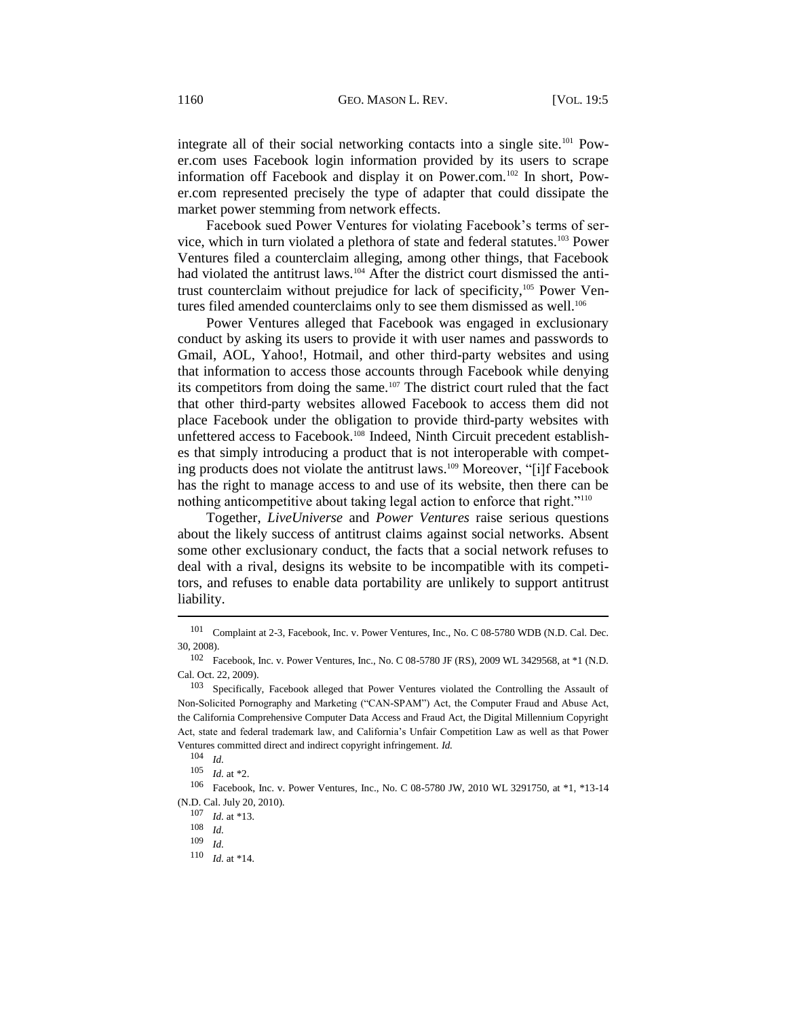integrate all of their social networking contacts into a single site.<sup>101</sup> Power.com uses Facebook login information provided by its users to scrape information off Facebook and display it on Power.com.<sup>102</sup> In short, Power.com represented precisely the type of adapter that could dissipate the market power stemming from network effects.

Facebook sued Power Ventures for violating Facebook's terms of service, which in turn violated a plethora of state and federal statutes.<sup>103</sup> Power Ventures filed a counterclaim alleging, among other things, that Facebook had violated the antitrust laws.<sup>104</sup> After the district court dismissed the antitrust counterclaim without prejudice for lack of specificity,<sup>105</sup> Power Ventures filed amended counterclaims only to see them dismissed as well.<sup>106</sup>

Power Ventures alleged that Facebook was engaged in exclusionary conduct by asking its users to provide it with user names and passwords to Gmail, AOL, Yahoo!, Hotmail, and other third-party websites and using that information to access those accounts through Facebook while denying its competitors from doing the same.<sup>107</sup> The district court ruled that the fact that other third-party websites allowed Facebook to access them did not place Facebook under the obligation to provide third-party websites with unfettered access to Facebook.<sup>108</sup> Indeed, Ninth Circuit precedent establishes that simply introducing a product that is not interoperable with competing products does not violate the antitrust laws.<sup>109</sup> Moreover, "[i]f Facebook has the right to manage access to and use of its website, then there can be nothing anticompetitive about taking legal action to enforce that right."<sup>110</sup>

Together, *LiveUniverse* and *Power Ventures* raise serious questions about the likely success of antitrust claims against social networks. Absent some other exclusionary conduct, the facts that a social network refuses to deal with a rival, designs its website to be incompatible with its competitors, and refuses to enable data portability are unlikely to support antitrust liability.

<sup>101</sup> Complaint at 2-3, Facebook, Inc. v. Power Ventures, Inc., No. C 08-5780 WDB (N.D. Cal. Dec. 30, 2008).

<sup>102</sup> Facebook, Inc. v. Power Ventures, Inc., No. C 08-5780 JF (RS), 2009 WL 3429568, at \*1 (N.D. Cal. Oct. 22, 2009).

<sup>&</sup>lt;sup>103</sup> Specifically, Facebook alleged that Power Ventures violated the Controlling the Assault of Non-Solicited Pornography and Marketing ("CAN-SPAM") Act, the Computer Fraud and Abuse Act, the California Comprehensive Computer Data Access and Fraud Act, the Digital Millennium Copyright Act, state and federal trademark law, and California's Unfair Competition Law as well as that Power Ventures committed direct and indirect copyright infringement. *Id.*

<sup>104</sup> *Id.*

<sup>105</sup> *Id.* at \*2.

<sup>106</sup> Facebook, Inc. v. Power Ventures, Inc., No. C 08-5780 JW, 2010 WL 3291750, at \*1, \*13-14 (N.D. Cal. July 20, 2010).

<sup>107</sup> *Id.* at \*13.

<sup>108</sup> *Id.*

<sup>109</sup> *Id.*

<sup>110</sup> *Id.* at \*14.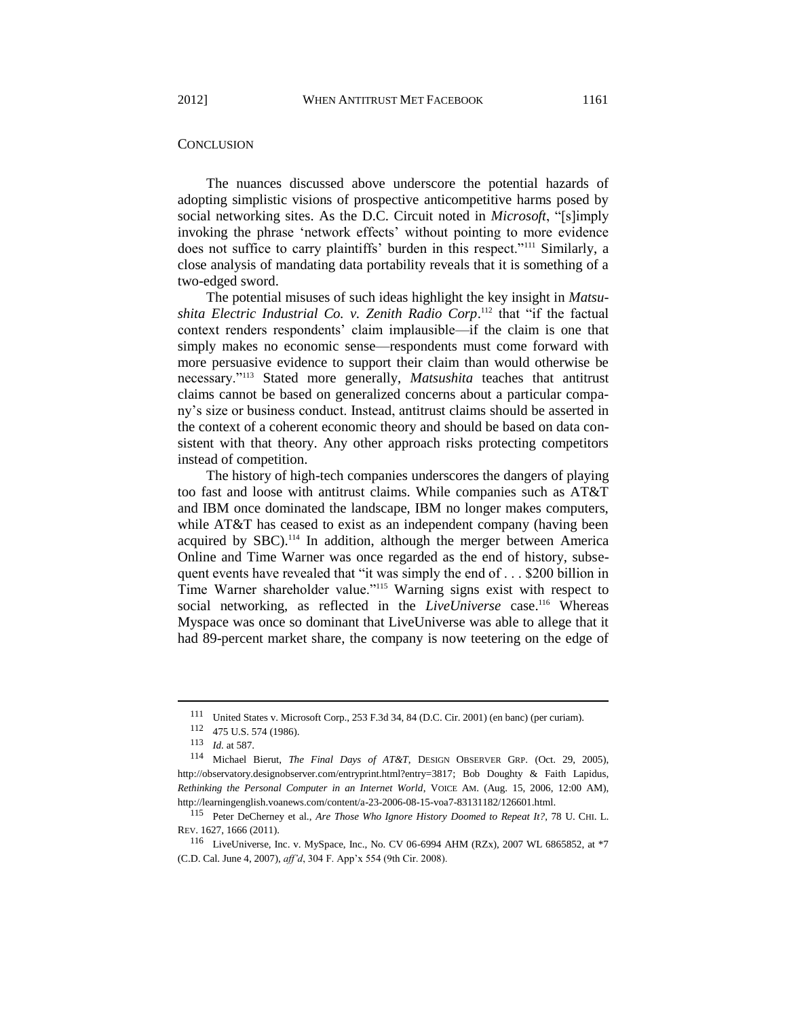The nuances discussed above underscore the potential hazards of adopting simplistic visions of prospective anticompetitive harms posed by social networking sites. As the D.C. Circuit noted in *Microsoft*, "[s]imply invoking the phrase 'network effects' without pointing to more evidence does not suffice to carry plaintiffs' burden in this respect."<sup>111</sup> Similarly, a close analysis of mandating data portability reveals that it is something of a two-edged sword.

The potential misuses of such ideas highlight the key insight in *Matsu*shita Electric Industrial Co. v. Zenith Radio Corp.<sup>112</sup> that "if the factual context renders respondents' claim implausible—if the claim is one that simply makes no economic sense—respondents must come forward with more persuasive evidence to support their claim than would otherwise be necessary."<sup>113</sup> Stated more generally, *Matsushita* teaches that antitrust claims cannot be based on generalized concerns about a particular company's size or business conduct. Instead, antitrust claims should be asserted in the context of a coherent economic theory and should be based on data consistent with that theory. Any other approach risks protecting competitors instead of competition.

The history of high-tech companies underscores the dangers of playing too fast and loose with antitrust claims. While companies such as AT&T and IBM once dominated the landscape, IBM no longer makes computers, while AT&T has ceased to exist as an independent company (having been acquired by SBC).<sup>114</sup> In addition, although the merger between America Online and Time Warner was once regarded as the end of history, subsequent events have revealed that "it was simply the end of . . . \$200 billion in Time Warner shareholder value."<sup>115</sup> Warning signs exist with respect to social networking, as reflected in the *LiveUniverse* case.<sup>116</sup> Whereas Myspace was once so dominant that LiveUniverse was able to allege that it had 89-percent market share, the company is now teetering on the edge of

<sup>111</sup> United States v. Microsoft Corp., 253 F.3d 34, 84 (D.C. Cir. 2001) (en banc) (per curiam).

<sup>112</sup> 475 U.S. 574 (1986).

<sup>113</sup> *Id.* at 587.

<sup>114</sup> Michael Bierut, *The Final Days of AT&T*, DESIGN OBSERVER GRP. (Oct. 29, 2005), [http://observatory.designobserver.com/entryprint.html?entry=3817;](http://observatory.designobserver.com/entryprint.html?entry=3817) Bob Doughty & Faith Lapidus, *Rethinking the Personal Computer in an Internet World*, VOICE AM. (Aug. 15, 2006, 12:00 AM), [http://learningenglish.voanews.com/content/a-23-2006-08-15-voa7-83131182/126601.html.](http://learningenglish.voanews.com/content/a-23-2006-08-15-voa7-83131182/126601.html)

<sup>115</sup> Peter DeCherney et al., *Are Those Who Ignore History Doomed to Repeat It?*, 78 U. CHI. L. REV. 1627, 1666 (2011).

<sup>116</sup> LiveUniverse, Inc. v. MySpace, Inc., No. CV 06-6994 AHM (RZx), 2007 WL 6865852, at \*7 (C.D. Cal. June 4, 2007), *aff'd*, 304 F. App'x 554 (9th Cir. 2008).